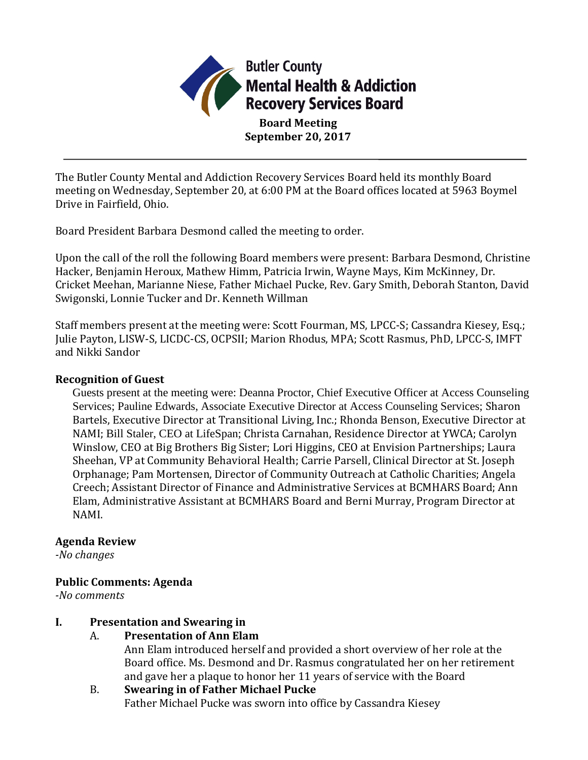

**Board Meeting September 20, 2017**

The Butler County Mental and Addiction Recovery Services Board held its monthly Board meeting on Wednesday, September 20, at 6:00 PM at the Board offices located at 5963 Boymel Drive in Fairfield, Ohio.

Board President Barbara Desmond called the meeting to order.

Upon the call of the roll the following Board members were present: Barbara Desmond, Christine Hacker, Benjamin Heroux, Mathew Himm, Patricia Irwin, Wayne Mays, Kim McKinney, Dr. Cricket Meehan, Marianne Niese, Father Michael Pucke, Rev. Gary Smith, Deborah Stanton, David Swigonski, Lonnie Tucker and Dr. Kenneth Willman

Staff members present at the meeting were: Scott Fourman, MS, LPCC-S; Cassandra Kiesey, Esq.; Julie Payton, LISW-S, LICDC-CS, OCPSII; Marion Rhodus, MPA; Scott Rasmus, PhD, LPCC-S, IMFT and Nikki Sandor

## **Recognition of Guest**

Guests present at the meeting were: Deanna Proctor, Chief Executive Officer at Access Counseling Services; Pauline Edwards, Associate Executive Director at Access Counseling Services; Sharon Bartels, Executive Director at Transitional Living, Inc.; Rhonda Benson, Executive Director at NAMI; Bill Staler, CEO at LifeSpan; Christa Carnahan, Residence Director at YWCA; Carolyn Winslow, CEO at Big Brothers Big Sister; Lori Higgins, CEO at Envision Partnerships; Laura Sheehan, VP at Community Behavioral Health; Carrie Parsell, Clinical Director at St. Joseph Orphanage; Pam Mortensen, Director of Community Outreach at Catholic Charities; Angela Creech; Assistant Director of Finance and Administrative Services at BCMHARS Board; Ann Elam, Administrative Assistant at BCMHARS Board and Berni Murray, Program Director at NAMI.

## **Agenda Review**

*-No changes*

# **Public Comments: Agenda**

*-No comments*

# **I. Presentation and Swearing in**

# A. **Presentation of Ann Elam**

Ann Elam introduced herself and provided a short overview of her role at the Board office. Ms. Desmond and Dr. Rasmus congratulated her on her retirement and gave her a plaque to honor her 11 years of service with the Board

# B. **Swearing in of Father Michael Pucke** Father Michael Pucke was sworn into office by Cassandra Kiesey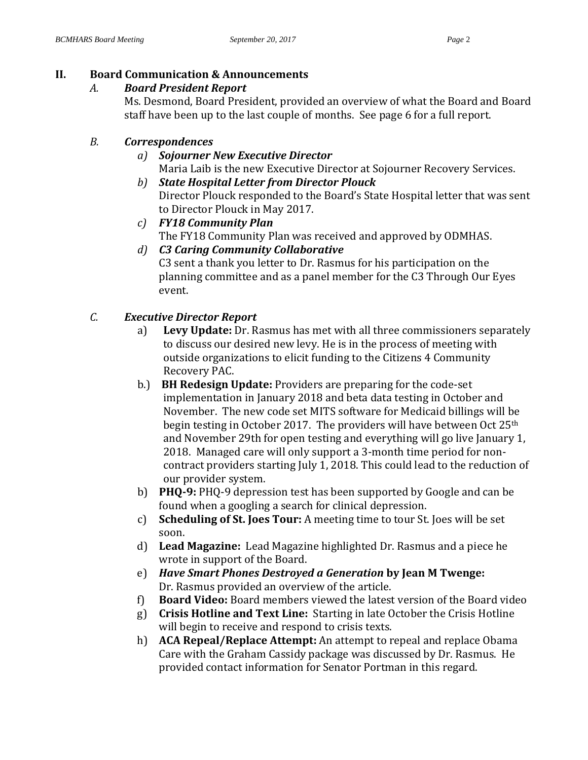## **II. Board Communication & Announcements**

## *A. Board President Report*

Ms. Desmond, Board President, provided an overview of what the Board and Board staff have been up to the last couple of months. See page 6 for a full report.

# *B. Correspondences*

# *a) Sojourner New Executive Director*

- Maria Laib is the new Executive Director at Sojourner Recovery Services.
- *b) State Hospital Letter from Director Plouck* Director Plouck responded to the Board's State Hospital letter that was sent to Director Plouck in May 2017.
- *c) FY18 Community Plan* The FY18 Community Plan was received and approved by ODMHAS.
- *d) C3 Caring Community Collaborative*

C3 sent a thank you letter to Dr. Rasmus for his participation on the planning committee and as a panel member for the C3 Through Our Eyes event.

# *C. Executive Director Report*

- a) **Levy Update:** Dr. Rasmus has met with all three commissioners separately to discuss our desired new levy. He is in the process of meeting with outside organizations to elicit funding to the Citizens 4 Community Recovery PAC.
- b.) **BH Redesign Update:** Providers are preparing for the code-set implementation in January 2018 and beta data testing in October and November. The new code set MITS software for Medicaid billings will be begin testing in October 2017. The providers will have between Oct 25<sup>th</sup> and November 29th for open testing and everything will go live January 1, 2018. Managed care will only support a 3-month time period for noncontract providers starting July 1, 2018. This could lead to the reduction of our provider system.
- b) **PHQ-9:** PHQ-9 depression test has been supported by Google and can be found when a googling a search for clinical depression.
- c) **Scheduling of St. Joes Tour:** A meeting time to tour St. Joes will be set soon.
- d) **Lead Magazine:** Lead Magazine highlighted Dr. Rasmus and a piece he wrote in support of the Board.
- e) *Have Smart Phones Destroyed a Generation* **by Jean M Twenge:**  Dr. Rasmus provided an overview of the article.
- f) **Board Video:** Board members viewed the latest version of the Board video
- g) **Crisis Hotline and Text Line:** Starting in late October the Crisis Hotline will begin to receive and respond to crisis texts.
- h) **ACA Repeal/Replace Attempt:** An attempt to repeal and replace Obama Care with the Graham Cassidy package was discussed by Dr. Rasmus. He provided contact information for Senator Portman in this regard.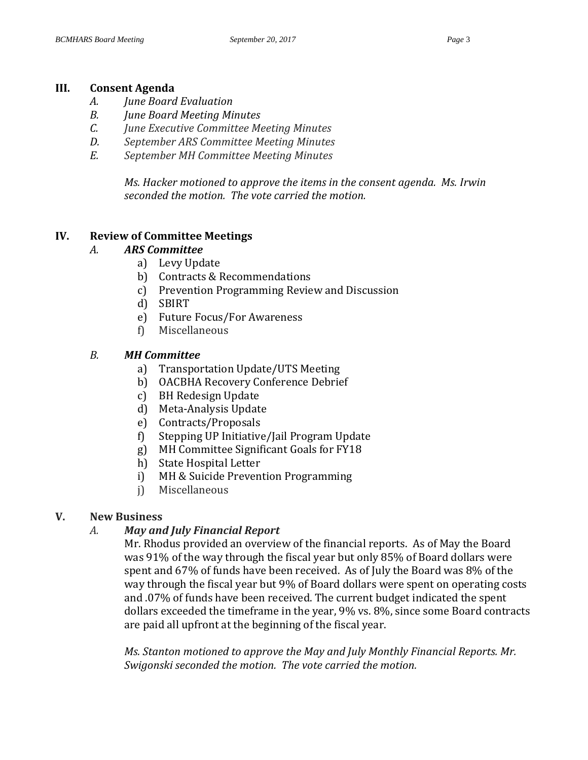### **III. Consent Agenda**

- *A. June Board Evaluation*
- *B. June Board Meeting Minutes*
- *C. June Executive Committee Meeting Minutes*
- *D. September ARS Committee Meeting Minutes*
- *E. September MH Committee Meeting Minutes*

*Ms. Hacker motioned to approve the items in the consent agenda. Ms. Irwin seconded the motion. The vote carried the motion.*

## **IV. Review of Committee Meetings**

### *A. ARS Committee*

- a) Levy Update
- b) Contracts & Recommendations
- c) Prevention Programming Review and Discussion
- d) SBIRT
- e) Future Focus/For Awareness
- f) Miscellaneous

### *B. MH Committee*

- a) Transportation Update/UTS Meeting
- b) OACBHA Recovery Conference Debrief
- c) BH Redesign Update
- d) Meta-Analysis Update
- e) Contracts/Proposals
- f) Stepping UP Initiative/Jail Program Update
- g) MH Committee Significant Goals for FY18
- h) State Hospital Letter
- i) MH & Suicide Prevention Programming
- j) Miscellaneous

## **V. New Business**

## *A. May and July Financial Report*

Mr. Rhodus provided an overview of the financial reports. As of May the Board was 91% of the way through the fiscal year but only 85% of Board dollars were spent and 67% of funds have been received. As of July the Board was 8% of the way through the fiscal year but 9% of Board dollars were spent on operating costs and .07% of funds have been received. The current budget indicated the spent dollars exceeded the timeframe in the year, 9% vs. 8%, since some Board contracts are paid all upfront at the beginning of the fiscal year.

*Ms. Stanton motioned to approve the May and July Monthly Financial Reports. Mr. Swigonski seconded the motion. The vote carried the motion.*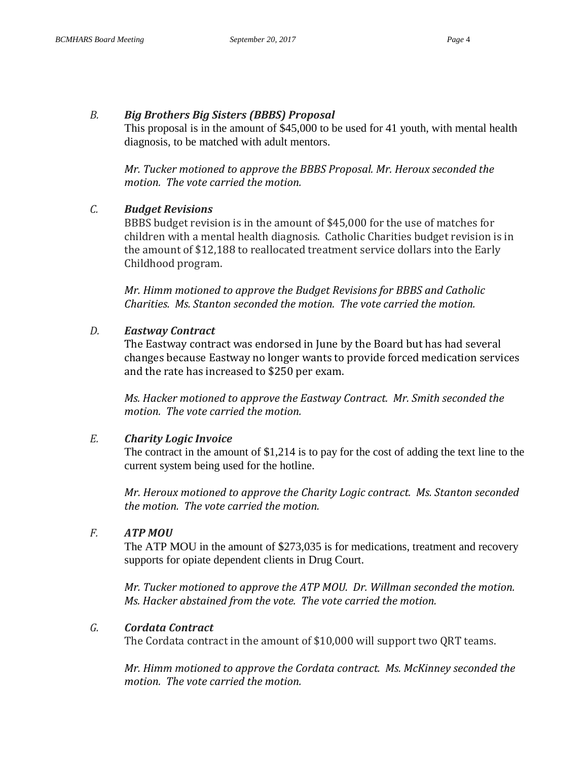### *B. Big Brothers Big Sisters (BBBS) Proposal*

This proposal is in the amount of \$45,000 to be used for 41 youth, with mental health diagnosis, to be matched with adult mentors.

*Mr. Tucker motioned to approve the BBBS Proposal. Mr. Heroux seconded the motion. The vote carried the motion.* 

### *C. Budget Revisions*

BBBS budget revision is in the amount of \$45,000 for the use of matches for children with a mental health diagnosis. Catholic Charities budget revision is in the amount of \$12,188 to reallocated treatment service dollars into the Early Childhood program.

*Mr. Himm motioned to approve the Budget Revisions for BBBS and Catholic Charities. Ms. Stanton seconded the motion. The vote carried the motion.* 

### *D. Eastway Contract*

The Eastway contract was endorsed in June by the Board but has had several changes because Eastway no longer wants to provide forced medication services and the rate has increased to \$250 per exam.

*Ms. Hacker motioned to approve the Eastway Contract. Mr. Smith seconded the motion. The vote carried the motion.*

## *E. Charity Logic Invoice*

The contract in the amount of \$1,214 is to pay for the cost of adding the text line to the current system being used for the hotline.

*Mr. Heroux motioned to approve the Charity Logic contract. Ms. Stanton seconded the motion. The vote carried the motion.* 

## *F. ATP MOU*

The ATP MOU in the amount of \$273,035 is for medications, treatment and recovery supports for opiate dependent clients in Drug Court.

*Mr. Tucker motioned to approve the ATP MOU. Dr. Willman seconded the motion. Ms. Hacker abstained from the vote. The vote carried the motion.* 

## *G. Cordata Contract*

The Cordata contract in the amount of \$10,000 will support two QRT teams.

*Mr. Himm motioned to approve the Cordata contract. Ms. McKinney seconded the motion. The vote carried the motion.*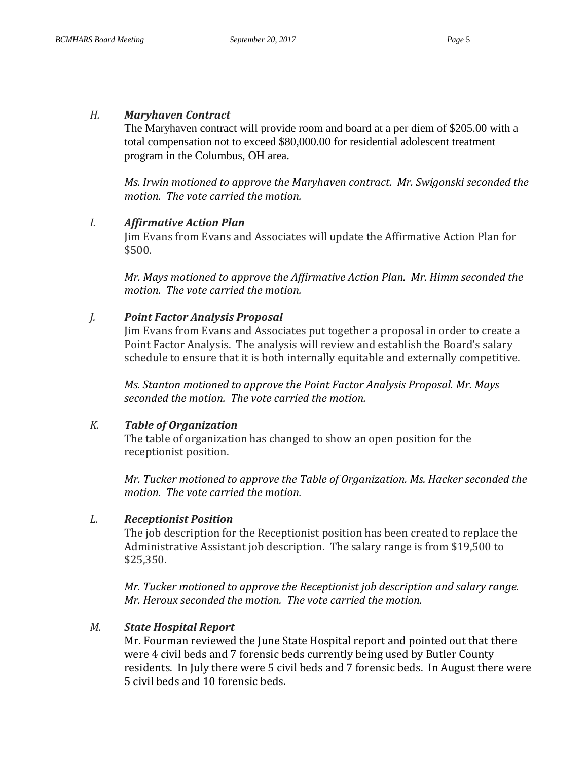#### *H. Maryhaven Contract*

The Maryhaven contract will provide room and board at a per diem of \$205.00 with a total compensation not to exceed \$80,000.00 for residential adolescent treatment program in the Columbus, OH area.

*Ms. Irwin motioned to approve the Maryhaven contract. Mr. Swigonski seconded the motion. The vote carried the motion.* 

#### *I. Affirmative Action Plan*

Jim Evans from Evans and Associates will update the Affirmative Action Plan for \$500.

*Mr. Mays motioned to approve the Affirmative Action Plan. Mr. Himm seconded the motion. The vote carried the motion.* 

#### *J. Point Factor Analysis Proposal*

Jim Evans from Evans and Associates put together a proposal in order to create a Point Factor Analysis. The analysis will review and establish the Board's salary schedule to ensure that it is both internally equitable and externally competitive.

*Ms. Stanton motioned to approve the Point Factor Analysis Proposal. Mr. Mays seconded the motion. The vote carried the motion.* 

#### *K. Table of Organization*

The table of organization has changed to show an open position for the receptionist position.

*Mr. Tucker motioned to approve the Table of Organization. Ms. Hacker seconded the motion. The vote carried the motion.* 

#### *L. Receptionist Position*

The job description for the Receptionist position has been created to replace the Administrative Assistant job description. The salary range is from \$19,500 to \$25,350.

*Mr. Tucker motioned to approve the Receptionist job description and salary range. Mr. Heroux seconded the motion. The vote carried the motion.* 

#### *M. State Hospital Report*

Mr. Fourman reviewed the June State Hospital report and pointed out that there were 4 civil beds and 7 forensic beds currently being used by Butler County residents. In July there were 5 civil beds and 7 forensic beds. In August there were 5 civil beds and 10 forensic beds.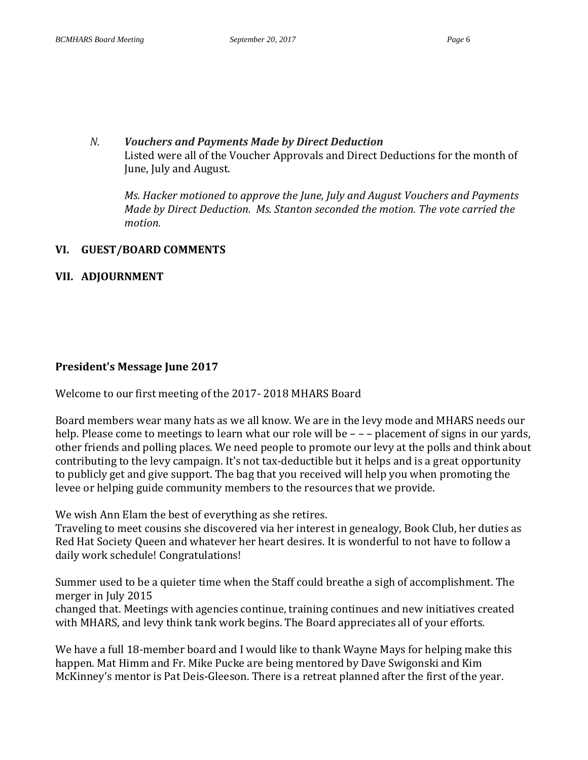## *N. Vouchers and Payments Made by Direct Deduction* Listed were all of the Voucher Approvals and Direct Deductions for the month of June, July and August.

*Ms. Hacker motioned to approve the June, July and August Vouchers and Payments Made by Direct Deduction. Ms. Stanton seconded the motion. The vote carried the motion.*

### **VI. GUEST/BOARD COMMENTS**

## **VII. ADJOURNMENT**

## **President's Message June 2017**

Welcome to our first meeting of the 2017- 2018 MHARS Board

Board members wear many hats as we all know. We are in the levy mode and MHARS needs our help. Please come to meetings to learn what our role will be  $-$  – – placement of signs in our vards, other friends and polling places. We need people to promote our levy at the polls and think about contributing to the levy campaign. It's not tax-deductible but it helps and is a great opportunity to publicly get and give support. The bag that you received will help you when promoting the levee or helping guide community members to the resources that we provide.

We wish Ann Elam the best of everything as she retires.

Traveling to meet cousins she discovered via her interest in genealogy, Book Club, her duties as Red Hat Society Queen and whatever her heart desires. It is wonderful to not have to follow a daily work schedule! Congratulations!

Summer used to be a quieter time when the Staff could breathe a sigh of accomplishment. The merger in July 2015

changed that. Meetings with agencies continue, training continues and new initiatives created with MHARS, and levy think tank work begins. The Board appreciates all of your efforts.

We have a full 18-member board and I would like to thank Wayne Mays for helping make this happen. Mat Himm and Fr. Mike Pucke are being mentored by Dave Swigonski and Kim McKinney's mentor is Pat Deis-Gleeson. There is a retreat planned after the first of the year.